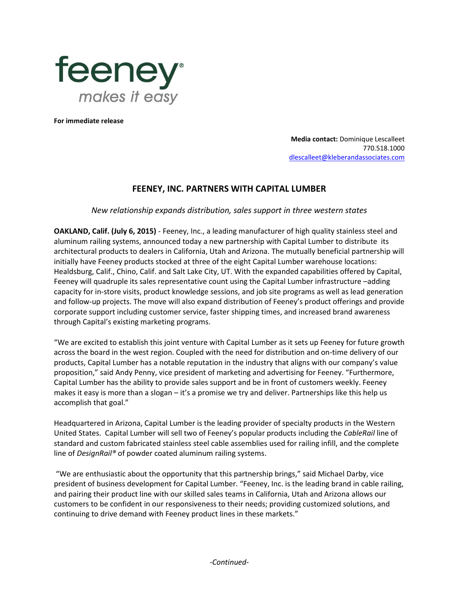

**For immediate release**

**Media contact:** Dominique Lescalleet 770.518.1000 [dlescalleet@kleberandassociates.com](mailto:dlescalleet@kleberandassociates.com)

## **FEENEY, INC. PARTNERS WITH CAPITAL LUMBER**

*New relationship expands distribution, sales support in three western states*

**OAKLAND, Calif. (July 6, 2015)** - Feeney, Inc., a leading manufacturer of high quality stainless steel and aluminum railing systems, announced today a new partnership with Capital Lumber to distribute its architectural products to dealers in California, Utah and Arizona. The mutually beneficial partnership will initially have Feeney products stocked at three of the eight Capital Lumber warehouse locations: Healdsburg, Calif., Chino, Calif. and Salt Lake City, UT. With the expanded capabilities offered by Capital, Feeney will quadruple its sales representative count using the Capital Lumber infrastructure –adding capacity for in-store visits, product knowledge sessions, and job site programs as well as lead generation and follow-up projects. The move will also expand distribution of Feeney's product offerings and provide corporate support including customer service, faster shipping times, and increased brand awareness through Capital's existing marketing programs.

"We are excited to establish this joint venture with Capital Lumber as it sets up Feeney for future growth across the board in the west region. Coupled with the need for distribution and on-time delivery of our products, Capital Lumber has a notable reputation in the industry that aligns with our company's value proposition," said Andy Penny, vice president of marketing and advertising for Feeney. "Furthermore, Capital Lumber has the ability to provide sales support and be in front of customers weekly. Feeney makes it easy is more than a slogan – it's a promise we try and deliver. Partnerships like this help us accomplish that goal."

Headquartered in Arizona, Capital Lumber is the leading provider of specialty products in the Western United States. Capital Lumber will sell two of Feeney's popular products including the *CableRail* line of standard and custom fabricated stainless steel cable assemblies used for railing infill, and the complete line of *DesignRail®* of powder coated aluminum railing systems.

"We are enthusiastic about the opportunity that this partnership brings," said Michael Darby, vice president of business development for Capital Lumber. "Feeney, Inc. is the leading brand in cable railing, and pairing their product line with our skilled sales teams in California, Utah and Arizona allows our customers to be confident in our responsiveness to their needs; providing customized solutions, and continuing to drive demand with Feeney product lines in these markets."